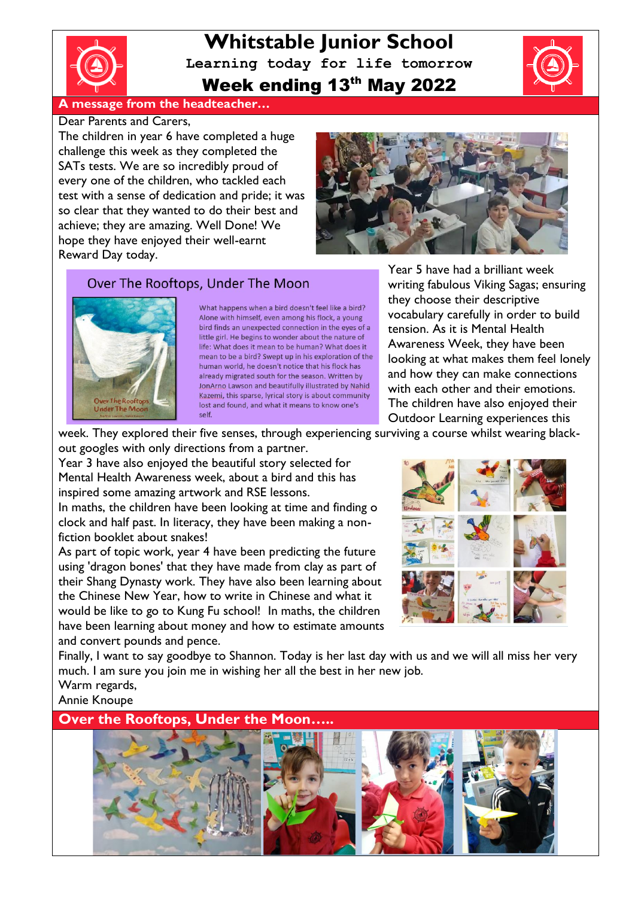

**Whitstable Junior School Learning today for life tomorrow** Week ending 13th May 2022



**A message from the headteacher…**

### Dear Parents and Carers,

The children in year 6 have completed a huge challenge this week as they completed the SATs tests. We are so incredibly proud of every one of the children, who tackled each test with a sense of dedication and pride; it was so clear that they wanted to do their best and achieve; they are amazing. Well Done! We hope they have enjoyed their well-earnt Reward Day today.



## Over The Rooftops, Under The Moon



What happens when a bird doesn't feel like a bird? Alone with himself, even among his flock, a young bird finds an unexpected connection in the eyes of a little girl. He begins to wonder about the nature of life: What does it mean to be human? What does it mean to be a bird? Swept up in his exploration of the human world, he doesn't notice that his flock has already migrated south for the season. Written by JonArno Lawson and beautifully illustrated by Nahid Kazemi, this sparse, lyrical story is about community lost and found, and what it means to know one's Self

Year 5 have had a brilliant week writing fabulous Viking Sagas; ensuring they choose their descriptive vocabulary carefully in order to build tension. As it is Mental Health Awareness Week, they have been looking at what makes them feel lonely and how they can make connections with each other and their emotions. The children have also enjoyed their Outdoor Learning experiences this

week. They explored their five senses, through experiencing surviving a course whilst wearing blackout googles with only directions from a partner.

Year 3 have also enjoyed the beautiful story selected for Mental Health Awareness week, about a bird and this has inspired some amazing artwork and RSE lessons.

In maths, the children have been looking at time and finding o clock and half past. In literacy, they have been making a nonfiction booklet about snakes!

As part of topic work, year 4 have been predicting the future using 'dragon bones' that they have made from clay as part of their Shang Dynasty work. They have also been learning about the Chinese New Year, how to write in Chinese and what it would be like to go to Kung Fu school! In maths, the children have been learning about money and how to estimate amounts and convert pounds and pence.



Finally, I want to say goodbye to Shannon. Today is her last day with us and we will all miss her very much. I am sure you join me in wishing her all the best in her new job. Warm regards,

Annie Knoupe

**Over the Rooftops, Under the Moon…..**

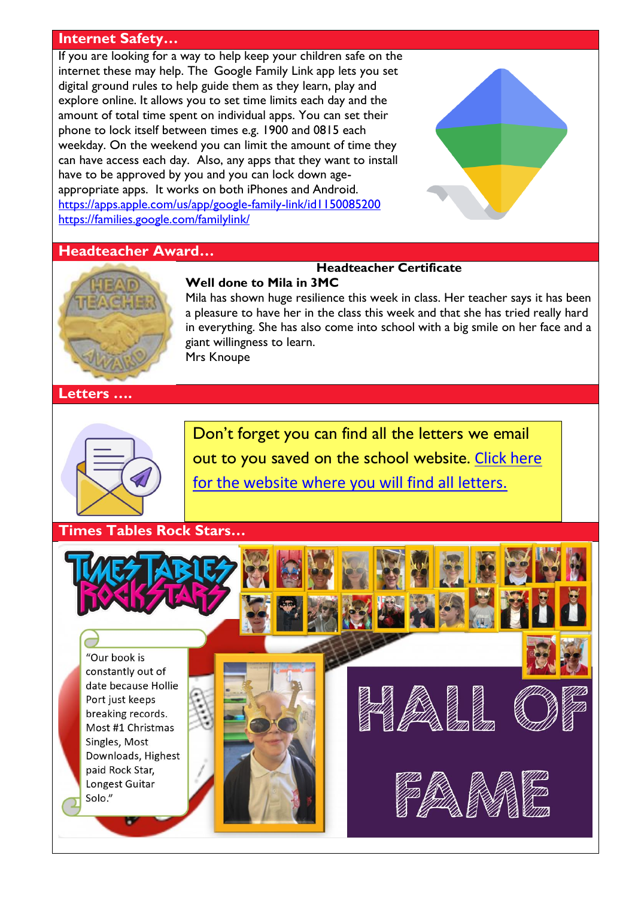## **Internet Safety…**

If you are looking for a way to help keep your children safe on the internet these may help. The Google Family Link app lets you set digital ground rules to help guide them as they learn, play and explore online. It allows you to set time limits each day and the amount of total time spent on individual apps. You can set their phone to lock itself between times e.g. 1900 and 0815 each weekday. On the weekend you can limit the amount of time they can have access each day. Also, any apps that they want to install have to be approved by you and you can lock down ageappropriate apps. It works on both iPhones and Android. <https://apps.apple.com/us/app/google-family-link/id1150085200> <https://families.google.com/familylink/>

## **Headteacher Award…**



### **Headteacher Certificate Well done to Mila in 3MC**

Mila has shown huge resilience this week in class. Her teacher says it has been a pleasure to have her in the class this week and that she has tried really hard in everything. She has also come into school with a big smile on her face and a giant willingness to learn. Mrs Knoupe

**Letters ….**



Don't forget you can find all the letters we email out to you saved on the school website. [Click here](http://www.whitstable-junior.kent.sch.uk/)  [for the website where you will find all letters.](http://www.whitstable-junior.kent.sch.uk/)

**Times Tables Rock Stars…**